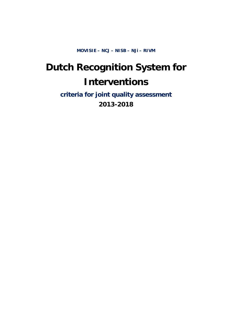**MOVISIE – NCJ – NISB – NJi – RIVM** 

# **Dutch Recognition System for Interventions**

**criteria for joint quality assessment 2013-2018**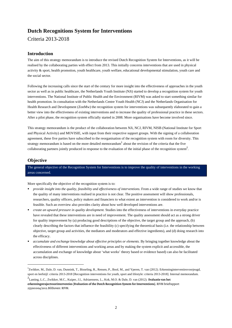# **Dutch Recognitions System for Interventions**

Criteria 2013-2018

# **Introduction**

The aim of this strategy memorandum is to introduce the revised Dutch Recognition System for Interventions, as it will be realised by the collaborating parties with effect from 2013. This initially concerns interventions that are used in physical activity & sport, health promotion, youth healthcare, youth welfare, educational developmental stimulation, youth care and the social sector.

Following the increasing calls since the start of the century for more insight into the effectiveness of approaches in the youth sector as well as in public healthcare, the Netherlands Youth Institute (NJi) started to develop a recognition system for youth interventions. The National Institute of Public Health and the Environment (RIVM) was asked to start something similar for health promotion. In consultation with the Netherlands Centre Youth Health (NCJ) and the Netherlands Organisation for Health Research and Development (ZonMw) the recognition system for interventions was subsequently elaborated to gain a better view into the effectiveness of existing interventions and to increase the quality of professional practice in these sectors. After a pilot phase, the recognition system officially started in 2008. More organisations have become involved since.

This strategy memorandum is the product of the collaboration between NJi, NCJ, RIVM, NISB (National Institute for Sport and Physical Activity) and MOVISIE, with input from their respective support groups. With the signing of a collaboration agreement, these five parties have subscribed to the reorganisation of the recognition system with room for diversity. This strategy memorandum is based on the more detailed memorandum<sup>1</sup> about the revision of the criteria that the five collaborating partners jointly produced in response to the evaluation of the initial phase of the recognition system<sup>2</sup>.

# **Objective**

1

The general objective of the Recognition System for Interventions is to improve the quality of interventions in the working areas concerned.

More specifically the objective of the recognition system is to:

- **P** *provide insight into the quality, feasibility and effectiveness of interventions.* From a wide range of studies we know that the quality of many interventions realised in practice is not clear. The positive assessment will show professionals, researchers, quality officers, policy makers and financiers to what extent an intervention is considered to work and/or is feasible. Such an overview also provides clarity about how well developed interventions are.
- *create an upward pressure in quality development.* Studies into the effectiveness of interventions in everyday practice have revealed that these interventions are in need of improvement. The quality assessment should act as a strong driver for quality improvement by (a) producing good descriptions of the objective, the target group and the approach, (b) clearly describing the factors that influence the feasibility (c) specifying the theoretical basis (i.e. the relationship between objective, target group and activities, the mediators and moderators and effective ingredients), and (d) doing research into the efficacy.
- *accumulate and exchange knowledge about effective principles or elements.* By bringing together knowledge about the effectiveness of different interventions and working areas and by making the system explicit and accessible, the accumulation and exchange of knowledge about 'what works' theory based or evidence based) can also be facilitated across disciplines.

<sup>1</sup> Zwikker, M., Dale, D. van, Dunnink, T., Bisseling, R., Rensen, P., Bool, M., and Yperen, T. van (2012). Erkenninginterventiesvoorjeugd, sport en leefstijl: criteria 2013-2018 [Recognition interventions for youth, sport and lifestyle: criteria 2013-2018]. Internal memorandum.

<sup>2</sup> Lanting, L.C., Zwikker, M.C., Kuiper, J.I., Adriaensens, L., Kok, M.O. & Dale, D. van (2012). **Evaluatie van het erkenningstrajectvoorinterventies [Evaluation of the Dutch Recognition System for Interventions].** RIVM briefrapport 255001004/2012.Bilthoven: RIVM.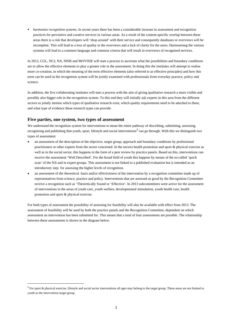*harmonise recognition systems.* In recent years there has been a considerable increase in assessment and recognition practices for preventive and curative services in various areas. As a result of the content-specific overlap between these areas there is a risk that developers will 'shop around' with their service and consequently databases or overviews will be incomplete. This will lead to a loss of quality in the overviews and a lack of clarity for the users. Harmonising the various systems will lead to a common language and common criteria that will result in overviews of recognised services.

In 2013, CGL, NCJ, NJi, NISB and MOVISIE will start a process to ascertain what the possibilities and boundary conditions are to allow the effective elements to play a greater role in the assessment. In doing this the institutes will attempt to realise more co-creation, in which the meaning of the term effective elements (also referred to as effective principles) and how this term can be used in the recognition system will be jointly examined with professionals from everyday practice, policy and science.

In addition, the five collaborating institutes will start a process with the aim of giving qualitative research a more visible and possibly also bigger role in the recognition system. To this end they will initially ask experts in this area from the different sectors to jointly itemise which types of qualitative research exist, which quality requirements need to be attached to these, and what type of evidence these research types can provide.

# **Five parties, one system, two types of assessment**

-

We understand the recognition system for interventions to mean the entire pathway of describing, submitting, assessing, recognising and publishing that youth, sport, lifestyle and social interventions<sup>3</sup> can go through. With this we distinguish two types of assessment:

- an assessment of the description of the objective, target group, approach and boundary conditions by professional practitioners or other experts from the sector concerned. In the sectors health promotion and sport & physical exercise as well as in the social sector, this happens in the form of a peer review by practice panels. Based on this, interventions can receive the assessment 'Well Described'. For the broad field of youth this happens by means of the so-called 'quick scan' of the NJi and in expert groups. This assessment is not linked to a published evaluation but is intended as an introductory step for assessing the higher levels of recognition.
- an assessment of the theoretical basis and/or effectiveness of the intervention by a recognition committee made up of representatives from science, practice and policy. Interventions that are assessed as good by the Recognition Committee receive a recognition such as 'Theoretically Sound or 'Effective'. In 2013 subcommittees were active for the assessment of interventions in the areas of youth care, youth welfare, developmental stimulation, youth health care, health promotion and sport & physical exercise.

For both types of assessment the possibility of assessing for feasibility will also be available with effect from 2013. The assessment of feasibility will be used by both the practice panels and the Recognition Committee, dependent on which assessment an intervention has been submitted for. This means that a total of four assessments are possible. The relationship between these assessments is shown in the diagram below.

 $3$  For sport & physical exercise, lifestyle and social sector interventions all ages may belong to the target group. These areas are not limited to youth as the intervention target group.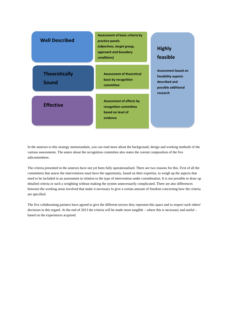| <b>Well Described</b>                | Assessment of basic criteria by<br>practice panels<br>(objectives, target group,<br>approach and boundary<br>conditions) | <b>Highly</b><br>feasible                                                                 |
|--------------------------------------|--------------------------------------------------------------------------------------------------------------------------|-------------------------------------------------------------------------------------------|
| <b>Theoretically</b><br><b>Sound</b> | <b>Assessment of theoretical</b><br>basis by recognition<br>committee                                                    | <b>Assessment based on</b><br>feasibility aspects<br>described and<br>possible additional |
| <b>Effective</b>                     | <b>Assessment of effects by</b><br>recognition committee<br>based on level of<br>evidence                                | research                                                                                  |

In the annexes to this strategy memorandum, you can read more about the background, design and working methods of the various assessments. The annex about the recognition committee also states the current composition of the five subcommittees.

The criteria presented in the annexes have not yet been fully operationalised. There are two reasons for this. First of all the committees that assess the interventions must have the opportunity, based on their expertise, to weigh up the aspects that need to be included in an assessment in relation to the type of intervention under consideration. It is not possible to draw up detailed criteria or such a weighting without making the system unnecessarily complicated. There are also differences between the working areas involved that make it necessary to give a certain amount of freedom concerning how the criteria are specified.

The five collaborating partners have agreed to give the different sectors they represent this space and to respect each others' decisions in this regard. At the end of 2013 the criteria will be made more tangible – where this is necessary and useful – based on the experiences acquired.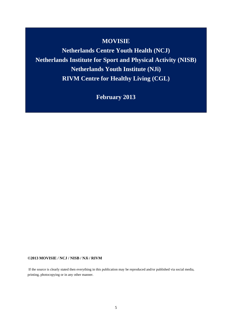# **MOVISIE**

**Netherlands Centre Youth Health (NCJ) Netherlands Institute for Sport and Physical Activity (NISB) Netherlands Youth Institute (NJi) RIVM Centre for Healthy Living (CGL)** 

**February 2013** 

#### **©2013 MOVISIE / NCJ / NISB / NJi / RIVM**

 If the source is clearly stated then everything in this publication may be reproduced and/or published via social media, printing, photocopying or in any other manner.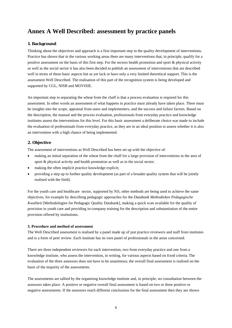# **Annex A Well Described: assessment by practice panels**

# **1. Background**

Thinking about the objectives and approach is a first important step in the quality development of interventions. Practice has shown that in the various working areas there are many interventions that, in principle, qualify for a positive assessment on the basis of this first step. For the sectors health promotion and sport & physical activity as well as the social sector it has also been decided to publish an assessment of interventions that are described well in terms of these basic aspects but as yet lack or have only a very limited theoretical support. This is the assessment Well Described. The realisation of this part of the recognition system is being developed and supported by CGL, NISB and MOVISIE.

An important step in separating the wheat from the chaff is that a process evaluation is required for this assessment. In other words an assessment of what happens in practice must already have taken place. There must be insights into the scope, appraisal from users and implementers, and the success and failure factors. Based on the description, the manual and the process evaluation, professionals from everyday practice and knowledge institutes assess the interventions for this level. For this basic assessment a deliberate choice was made to include the evaluation of professionals from everyday practice, as they are in an ideal position to assess whether it is also an intervention with a high chance of being implemented.

# **2. Objective**

The assessment of interventions as Well Described has been set up with the objective of:

- making an initial separation of the wheat from the chaff for a large provision of interventions in the area of sport & physical activity and health promotion as well as in the social sector;
- making the often implicit practice knowledge explicit;
- providing a step up to further quality development (as part of a broader quality system that will be jointly realised with the field).

For the youth care and healthcare sector, supported by NJi, other methods are being used to achieve the same objectives, for example by describing pedagogic approaches for the *Databank Methodieken Pedagogische Kwaliteit* [Methodologies for Pedagogic Quality Databank], making a quick scan available for the quality of provision in youth care and providing in-company training for the description and substantiation of the entire provision offered by institutions.

### **3. Procedure and method of assessment**

The Well Described assessment is realised by a panel made up of just practice reviewers and staff from institutes and is a form of peer review. Each institute has its own panel of professionals in the areas concerned.

There are three independent reviewers for each intervention, two from everyday practice and one from a knowledge institute, who assess the intervention, in writing, for various aspects based on fixed criteria. The evaluation of the three assessors does not have to be unanimous; the overall final assessment is realised on the basis of the majority of the assessments.

The assessments are tallied by the organising knowledge institute and, in principle, no consultation between the assessors takes place. A positive or negative overall final assessment is based on two or three positive or negative assessments. If the assessors reach different conclusions for the final assessment then they are shown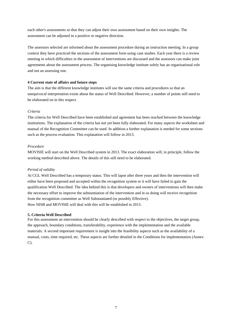each other's assessments so that they can adjust their own assessment based on their own insights. The assessment can be adjusted in a positive or negative direction.

The assessors selected are informed about the assessment procedure during an instruction meeting. In a group context they have practiced the sections of the assessment form using case studies. Each year there is a review meeting in which difficulties in the assessment of interventions are discussed and the assessors can make joint agreements about the assessment process. The organising knowledge institute solely has an organisational role and not an assessing one.

### **4 Current state of affairs and future steps**

The aim is that the different knowledge institutes will use the same criteria and procedures so that an unequivocal interpretation exists about the status of Well Described. However, a number of points still need to be elaborated on in this respect.

#### *Criteria*

The criteria for Well Described have been established and agreement has been reached between the knowledge institutions. The explanation of the criteria has not yet been fully elaborated. For many aspects the worksheet and manual of the Recognition Committee can be used. In addition a further explanation is needed for some sections such as the process evaluation. This explanation will follow in 2013.

#### *Procedure*

MOVISIE will start on the Well Described system in 2013. The exact elaboration will, in principle, follow the working method described above. The details of this still need to be elaborated.

### *Period of validity*

At CGL Well Described has a temporary status. This will lapse after three years and then the intervention will either have been proposed and accepted within the recognition system or it will have failed to gain the qualification Well Described. The idea behind this is that developers and owners of interventions will then make the necessary effort to improve the substantiation of the intervention and in so doing will receive recognition from the recognition committee as Well Substantiated (or possibly Effective). How NISB and MOVISIE will deal with this will be established in 2013.

#### **5. Criteria Well Described**

For this assessment an intervention should be clearly described with respect to the objectives, the target group, the approach, boundary conditions, transferability, experience with the implementation and the available materials. A second important requirement is insight into the feasibility aspects such as the availability of a manual, costs, time required, etc. These aspects are further detailed in the Conditions for implementation (Annex C).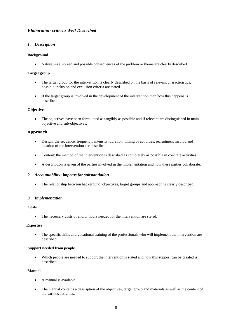# *Elaboration criteria Well Described*

# *1. Description*

# **Background**

Nature, size, spread and possible consequences of the problem or theme are clearly described.

### **Target group**

- The target group for the intervention is clearly described on the basis of relevant characteristics; possible inclusion and exclusion criteria are stated.
- If the target group is involved in the development of the intervention then how this happens is described.

# **Objectives**

 The objectives have been formulated as tangibly as possible and if relevant are distinguished in main objective and sub-objectives.

# **Approach**

- Design: the sequence, frequency, intensity, duration, timing of activities, recruitment method and location of the intervention are described.
- Content: the method of the intervention is described as completely as possible in concrete activities.
- A description is given of the parties involved in the implementation and how these parties collaborate.

### *2. Accountability: impetus for substantiation*

• The relationship between background, objectives, target groups and approach is clearly described.

### *3. Implementation*

### **Costs**

• The necessary costs of and/or hours needed for the intervention are stated.

### **Expertise**

• The specific skills and vocational training of the professionals who will implement the intervention are described.

### **Support needed from people**

 Which people are needed to support the intervention is stated and how this support can be created is described.

# **Manual**

- A manual is available.
- The manual contains a description of the objectives, target group and materials as well as the content of the various activities.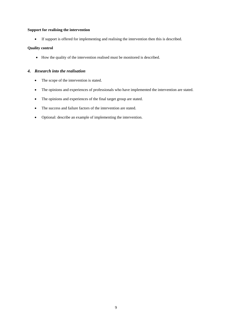# **Support for realising the intervention**

If support is offered for implementing and realising the intervention then this is described.

# **Quality control**

How the quality of the intervention realised must be monitored is described.

# *4. Research into the realisation*

- The scope of the intervention is stated.
- The opinions and experiences of professionals who have implemented the intervention are stated.
- The opinions and experiences of the final target group are stated.
- The success and failure factors of the intervention are stated.
- Optional: describe an example of implementing the intervention.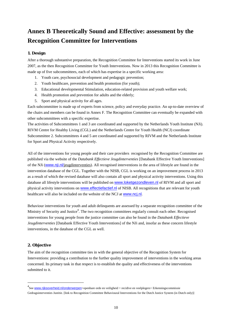# **Annex B Theoretically Sound and Effective: assessment by the Recognition Committee for Interventions**

# **1. Design**

After a thorough substantive preparation, the Recognition Committee for Interventions started its work in June 2007, as the then Recognition Committee for Youth Interventions. Now in 2013 this Recognition Committee is made up of five subcommittees, each of which has expertise in a specific working area:

- 1. Youth care, psychosocial development and pedagogic prevention;
- 2. Youth healthcare, prevention and health promotion (for youth);
- 3. Educational developmental Stimulation, education-related provision and youth welfare work;
- 4. Health promotion and prevention for adults and the elderly;
- 5. Sport and physical activity for all ages.

Each subcommittee is made up of experts from science, policy and everyday practice. An up-to-date overview of the chairs and members can be found in Annex F. The Recognition Committee can eventually be expanded with other subcommittees with a specific expertise.

The activities of Subcommittees 1 and 3 are coordinated and supported by the Netherlands Youth Institute (NJi). RIVM Centre for Healthy Living (CGL) and the Netherlands Centre for Youth Health (NCJ) coordinate Subcommittee 2. Subcommittees 4 and 5 are coordinated and supported by RIVM and the Netherlands Institute for Sport and Physical Activity respectively.

All of the interventions for young people and their care providers recognised by the Recognition Committee are published via the website of the *Databank Effectieve Jeugdinterventies* [Databank Effective Youth Interventions] of the NJi (www.nji.nl/jeugdinterventies). All recognised interventions in the area of lifestyle are found in the intervention database of the CGL. Together with the NISB, CGL is working on an improvement process in 2013 as a result of which the revised database will also contain all sport and physical activity interventions. Using this database all lifestyle interventions will be published on www.loketgezondleven.nl of RIVM and all sport and physical activity interventions on www.effectiefactief.nl of NISB. All recognitions that are relevant for youth healthcare will also be included on the website of the NCJ at www.ncj.nl.

Behaviour interventions for youth and adult delinquents are assessed by a separate recognition committee of the Ministry of Security and Justice<sup>4</sup>. The two recognition committees regularly consult each other. Recognised interventions for young people from the justice committee can also be found in the *Databank Effectieve Jeugdinterventies* [Databank Effective Youth Interventions] of the NJi and, insofar as these concern lifestyle interventions, in the database of the CGL as well.

# **2. Objective**

-

The aim of the recognition committee ties in with the general objective of the Recognition System for Interventions: providing a contribution to the further quality improvement of interventions in the working areas concerned. Its primary task in that respect is to establish the quality and effectiveness of the interventions submitted to it.

<sup>4&</sup>lt;br>See www.rijksoverheid.nl/onderwerpen>openbare orde en veiligheid > recidive en veelplegers> Erkenningscommissie Gedragsinterventies Justitie. [link to Recognition Committee Behavioural Interventions for the Dutch Justice System (in Dutch only)]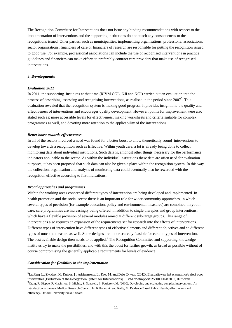The Recognition Committee for Interventions does not issue any binding recommendations with respect to the implementation of interventions and the supporting institutions do not attach any consequences to the recognitions issued. Other parties, such as municipalities, implementing organisations, professional associations, sector organisations, financiers of care or financiers of research are responsible for putting the recognition issued to good use. For example, professional associations can include the use of recognised interventions in practice guidelines and financiers can make efforts to preferably contract care providers that make use of recognised interventions.

#### **3. Developments**

#### *Evaluation 2011*

In 2011, the supporting institutes at that time (RIVM CGL, NJi and NCJ) carried out an evaluation into the process of describing, assessing and recognising interventions, as realised in the period since 2007<sup>5</sup>. This evaluation revealed that the recognition system is making good progress: it provides insight into the quality and effectiveness of interventions and encourages quality development. However, points for improvement were also stated such as: more accessible levels for effectiveness, making worksheets and criteria suitable for complex programmes as well, and devoting more attention to the applicability of the interventions.

#### *Better boost towards effectiveness*

In all of the sectors involved a need was found for a better boost to allow theoretically sound interventions to develop towards a recognition such as Effective. Within youth care, a lot is already being done to collect monitoring data about individual institutions. Such data is, amongst other things, necessary for the performance indicators applicable to the sector. As within the individual institutions these data are often used for evaluation purposes, it has been proposed that such data can also be given a place within the recognition system. In this way the collection, organisation and analysis of monitoring data could eventually also be rewarded with the recognition effective according to first indications.

#### *Broad approaches and programmes*

Within the working areas concerned different types of intervention are being developed and implemented. In health promotion and the social sector there is an important role for wider community approaches, in which several types of provision (for example education, policy and environmental measures) are combined. In youth care, care programmes are increasingly being offered, in addition to single therapies and group interventions, which have a flexible provision of several modules aimed at different sub-target groups. This range of interventions also requires an expansion of the requirements set for research into the effects of interventions. Different types of intervention have different types of effective elements and different objectives and so different types of outcome measure as well. Some designs are not or scarcely feasible for certain types of intervention. The best available design then needs to be applied. <sup>6</sup> The Recognition Committee and supporting knowledge institutes try to make the possibilities, and with this the boost for further growth, as broad as possible without of course compromising the generally applicable requirements for levels of evidence.

#### *Consideration for flexibility in the implementation*

-

<sup>&</sup>lt;sup>5</sup>Lanting, L., Zwikker, M. Kuiper, J., Adriaensens, L., Kok, M. and Dale, D. van. (2012). Evaluatie van het erkenningstraject voor interventies [Evaluation of the Recognition System for Interventions]. RIVM briefrapport 255001004/2012, Bilthoven. <sup>6</sup>  $<sup>6</sup>$ Craig, P. Dieppe, P. Macintyre, S. Michie, S. Nazareth, I., Petticrew, M. (2010). Developing and evaluating complex interventions. An</sup> introduction to the new Medical Research Council. In: Killoran, A. and Kelly, M. Evidence Based Public Health; effectiveness and efficiency. Oxford University Press, Oxford.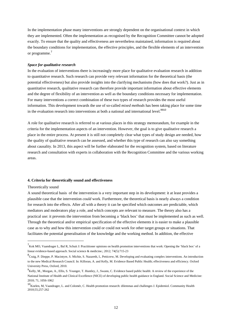In the implementation phase many interventions are strongly dependent on the organisational context in which they are implemented. Often the implementation as recognised by the Recognition Committee cannot be adopted exactly. To ensure that the quality and effectiveness are nevertheless maintained, information is required about the boundary conditions for implementation, the effective principles, and the flexible elements of an intervention or programme.<sup>7</sup>

#### *Space for qualitative research*

In the evaluation of interventions there is increasingly more place for qualitative evaluation research in addition to quantitative research. Such research can provide very relevant information for the theoretical basis (the potential effectiveness) but also provide insights into the clarifying mechanisms (how does that work?). Just as in quantitative research, qualitative research can therefore provide important information about effective elements and the degree of flexibility of an intervention as well as the boundary conditions necessary for implementation. For many interventions a correct combination of these two types of research provides the most useful information. This development towards the use of so-called *mixed methods* has been taking place for some time in the evaluation research into interventions at both a national and international level. $8910$ 

A role for qualitative research is referred to at various places in this strategy memorandum, for example in the criteria for the implementation aspects of an intervention. However, the goal is to give qualitative research a place in the entire process. At present it is still not completely clear what types of study design are needed, how the quality of qualitative research can be assessed, and whether this type of research can also say something about causality. In 2013, this aspect will be further elaborated for the recognition system, based on literature research and consultation with experts in collaboration with the Recognition Committee and the various working areas.

#### **4. Criteria for theoretically sound and effectiveness**

#### Theoretically sound

1

A sound theoretical basis of the intervention is a very important step in its development: it at least provides a plausible case that the intervention *could* work. Furthermore, the theoretical basis is nearly always a condition for research into the effects. After all with a theory it can be specified which outcomes are predictable, which mediators and moderators play a role, and which concepts are relevant to measure. The theory also has a practical use: it prevents the intervention from becoming a 'black box' that must be implemented as such as well. Through the theoretical and/or empirical specification of the effective elements it is easier to make a plausible case as to why and how this intervention could or could not work for other target groups or situations. That facilitates the potential generalisation of the knowledge and the working method. In addition, the effective

<sup>7</sup> Kok MO, Vaandrager L, Bal R, Schuit J: Practitioner opinions on health promotion interventions that work: Opening the 'black box' of a linear evidence-based approach. Social science & medicine.; 2012; 74(5):715-23

<sup>8</sup> Craig, P. Dieppe, P. Macintyre, S. Michie, S. Nazareth, I., Petticrew, M. Developing and evaluating complex interventions. An introduction to the new Medical Research Council. In: Killoran, A. and Kelly, M. Evidence Based Public Health; effectiveness and efficiency. Oxford University Press, Oxford, 2010.

<sup>&</sup>lt;sup>9</sup>Kelly, M., Morgan, A., Ellis, S. Younger, T. Huntley, J., Swann, C. Evidence based public health: A review of the experience of the National Institute of Health and Clinical Excellence (NICE) of developing public health guidance in England. Social Science and Medicine: 2010; 71, 1056-1062

<sup>10</sup>Koelen, M, Vaandrager, L. and Colomér, C. Health promotion research: dilemmas and challenges J. Epidemiol. Community Health 2010;55;257-262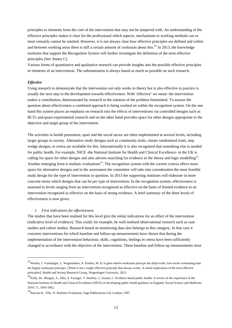principles or elements form the core of the intervention that may not be tampered with. An understanding of the effective principles makes it clear for the professional which aspects, mechanisms or working methods can or most certainly cannot be omitted. However, it is not always clear how effective principles are defined and within and between working areas there is still a certain amount of confusion about this.<sup>11</sup> In 2013, the knowledge institutes that support the Recognition System will further investigate the definition of the term effective principles (See Annex C).

Various forms of quantitative and qualitative research can provide insights into the possible effective principles or elements of an intervention. The substantiation is always based as much as possible on such research.

#### *Effective*

-

Using research to demonstrate that the intervention not only works in theory but is also effective in practice is usually the next step in the development towards effectiveness. With 'effective' we mean: the intervention makes a contribution, demonstrated by research to the solution of the problem formulated. To answer the question about effectiveness a combined approach is being worked on within the recognition system. On the one hand this system places an emphasis on research into the effects of interventions via controlled designs such as RCTs and quasi-experimental research and on the other hand provides space for other designs appropriate to the objective and target group of the intervention.

The activities in health promotion, sport and the social sector are often implemented at several levels, including larger groups in society. Alternative study designs such as community trials, cluster randomised trials, step wedge designs, et cetera are available for this. Internationally it is also recognised that something else is needed for public health. For example, NICE -the National Institute for Health and Clinical Excellence- in the UK is calling for space for other designs and also advises searching for evidence in the theory and logic modelling $12$ . Another emerging form is realistic evaluations<sup>13</sup>. The recognition system with the current criteria offers more space for alternative designs and in the assessment the committee will take into consideration the most feasible study design for the type of intervention in question. In 2013 the supporting institutes will elaborate in more concrete terms which designs that can be per type of intervention. In the recognition system, effectiveness is assessed in levels ranging from an intervention recognised as effective on the basis of limited evidence to an intervention recognised as effective on the basis of strong evidence. A brief summary of the three levels of effectiveness is now given.

#### *1. First indications for effectiveness*

The studies that have been realised for this level give the initial indications for an effect of the intervention (indicative level of evidence). This could, for example, be well-realised observational research such as case studies and cohort studies. Research based on monitoring data also belongs to this category. In that case it concerns interventions for which baseline and follow-up measurements have shown that during the implementation of the intervention behaviour, skills, cognitions, feelings et cetera have been sufficiently changed in accordance with the objective of the intervention. These baseline and follow-up measurements must

<sup>11</sup>Wartna, J. Vaandrager, L. Wagemakers, A. Koelen, M. Er is geen enkele werkzaam principe dat altijd werkt. Een eerste verkenning naar het begrip werkzame principes. [There is not a single effective principle that always works. A initial exploration of the term effective principles]. Health and Society Research Group, Wageningen University, 2012.

<sup>12</sup>Kelly, M., Morgan, A., Ellis, S. Younger, T. Huntley, J., Swann, C. Evidence based public health: A review of the experience of the National Institute of Health and Clinical Excellence (NICE) of developing public health guidance in England. Social Science and Medicine: 2010; 71, 1056-1062.

<sup>13</sup>Pawson R., Tilly, N. Realistic Evaluation. Sage Publications Ltd. London, 1997.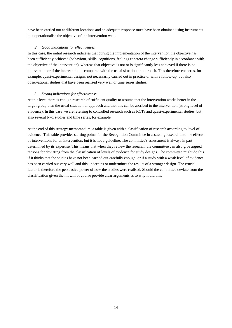have been carried out at different locations and an adequate response must have been obtained using instruments that operationalise the objective of the intervention well.

### *2. Good indications for effectiveness*

In this case, the initial research indicates that during the implementation of the intervention the objective has been sufficiently achieved (behaviour, skills, cognitions, feelings et cetera change sufficiently in accordance with the objective of the intervention), whereas that objective is not or is significantly less achieved if there is no intervention or if the intervention is compared with the usual situation or approach. This therefore concerns, for example, quasi-experimental designs, not necessarily carried out in practice or with a follow-up, but also observational studies that have been realised very well or time series studies.

# *3. Strong indications for effectiveness*

At this level there is enough research of sufficient quality to assume that the intervention works better in the target group than the usual situation or approach and that this can be ascribed to the intervention (strong level of evidence). In this case we are referring to controlled research such as RCTs and quasi-experimental studies, but also several N=1 studies and time series, for example.

At the end of this strategy memorandum, a table is given with a classification of research according to level of evidence. This table provides starting points for the Recognition Committee in assessing research into the effects of interventions for an intervention, but it is not a guideline. The committee's assessment is always in part determined by its expertise. This means that when they review the research, the committee can also give argued reasons for deviating from the classification of levels of evidence for study designs. The committee might do this if it thinks that the studies have not been carried out carefully enough, or if a study with a weak level of evidence has been carried out very well and this underpins or undermines the results of a stronger design. The crucial factor is therefore the persuasive power of how the studies were realised. Should the committee deviate from the classification given then it will of course provide clear arguments as to why it did this.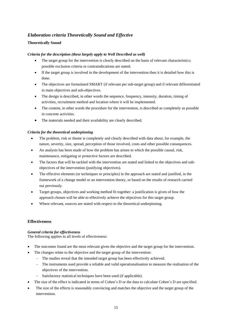# *Elaboration criteria Theoretically Sound and Effective*

# **Theoretically Sound**

# *Criteria for the description (these largely apply to Well Described as well)*

- The target group for the intervention is clearly described on the basis of relevant characteristics; possible exclusion criteria or contraindications are stated.
- If the target group is involved in the development of the intervention then it is detailed how this is done.
- The objectives are formulated SMART (if relevant per sub-target group) and if relevant differentiated in main objectives and sub-objectives.
- The design is described, in other words the sequence, frequency, intensity, duration, timing of activities, recruitment method and location where it will be implemented.
- The content, in other words the procedure for the intervention, is described as completely as possible in concrete activities.
- The materials needed and their availability are clearly described.

# *Criteria for the theoretical underpinning*

- The problem, risk or theme is completely and clearly described with data about, for example, the nature, severity, size, spread, perception of those involved, costs and other possible consequences.
- An analysis has been made of how the problem has arisen in which the possible causal, risk, maintenance, mitigating or protective factors are described.
- The factors that will be tackled with the intervention are stated and linked to the objectives and subobjectives of the intervention (justifying objectives).
- The effective elements (or techniques or principles) in the approach are stated and justified, in the framework of a change model or an intervention theory, or based on the results of research carried out previously.
- Target groups, objectives and working method fit together: a justification is given of how the approach chosen will be able to effectively achieve the objectives for this target group.
- Where relevant, sources are stated with respect to the theoretical underpinning.

# **Effectiveness**

# *General criteria for effectiveness*

The following applies to all levels of effectiveness:

- The outcomes found are the most relevant given the objective and the target group for the intervention.
- The changes relate to the objective and the target group of the intervention:
	- The studies reveal that the intended target group has been effectively achieved.
	- The instruments used provide a reliable and valid operationalisation to measure the realisation of the objectives of the intervention.
	- Satisfactory statistical techniques have been used (if applicable).
- The size of the effect is indicated in terms of Cohen's D or the data to calculate Cohen's D are specified.
- The size of the effects is reasonably convincing and matches the objective and the target group of the intervention.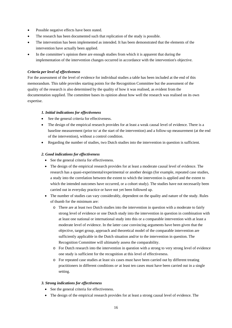- Possible negative effects have been stated.
- The research has been documented such that replication of the study is possible.
- The intervention has been implemented as intended. It has been demonstrated that the elements of the intervention have actually been applied.
- In the committee's opinion there are enough studies from which it is apparent that during the implementation of the intervention changes occurred in accordance with the intervention's objective.

# *Criteria per level of effectiveness*

For the assessment of the level of evidence for individual studies a table has been included at the end of this memorandum. This table provides starting points for the Recognition Committee but the assessment of the quality of the research is also determined by the quality of how it was realised, as evident from the documentation supplied. The committee bases its opinion about how well the research was realised on its own expertise.

### *1. Initial indications for effectiveness*

- See the general criteria for effectiveness.
- The design of the empirical research provides for at least a weak causal level of evidence. There is a baseline measurement (prior to/ at the start of the intervention) and a follow-up measurement (at the end of the intervention), without a control condition.
- Regarding the number of studies, two Dutch studies into the intervention in question is sufficient.

# *2. Good indications for effectiveness*

- See the general criteria for effectiveness.
- The design of the empirical research provides for at least a moderate causal level of evidence. The research has a quasi-experimental/experimental or another design (for example, repeated case studies, a study into the correlation between the extent to which the intervention is applied and the extent to which the intended outcomes have occurred, or a cohort study). The studies have not necessarily been carried out in everyday practice or have not yet been followed up.
- The number of studies can vary considerably, dependent on the quality and nature of the study. Rules of thumb for the minimum are:
	- o There are at least two Dutch studies into the intervention in question with a moderate to fairly strong level of evidence or one Dutch study into the intervention in question in combination with at least one national or international study into this or a comparable intervention with at least a moderate level of evidence. In the latter case convincing arguments have been given that the objective, target group, approach and theoretical model of the comparable intervention are sufficiently applicable in the Dutch situation and/or to the intervention in question. The Recognition Committee will ultimately assess the comparability.
	- o For Dutch research into the intervention in question with a strong to very strong level of evidence one study is sufficient for the recognition at this level of effectiveness.
	- o For repeated case studies at least six cases must have been carried out by different treating practitioners in different conditions *or* at least ten cases must have been carried out in a single setting.

### *3. Strong indications for effectiveness*

- See the general criteria for effectiveness.
- The design of the empirical research provides for at least a strong causal level of evidence. The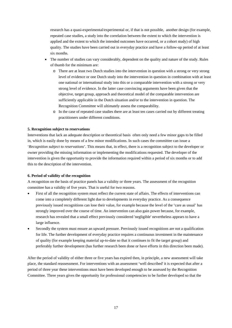research has a quasi-experimental/experimental or, if that is not possible, another design (for example, repeated case studies, a study into the correlation between the extent to which the intervention is applied and the extent to which the intended outcomes have occurred, or a cohort study) of high quality. The studies have been carried out in everyday practice and have a follow-up period of at least six months.

- The number of studies can vary considerably, dependent on the quality and nature of the study. Rules of thumb for the minimum are:
	- o There are at least two Dutch studies into the intervention in question with a strong or very strong level of evidence or one Dutch study into the intervention in question in combination with at least one national or international study into this or a comparable intervention with a strong or very strong level of evidence. In the latter case convincing arguments have been given that the objective, target group, approach and theoretical model of the comparable intervention are sufficiently applicable in the Dutch situation and/or to the intervention in question. The Recognition Committee will ultimately assess the comparability.
	- o In the case of repeated case studies there are at least ten cases carried out by different treating practitioners under different conditions.

### **5. Recognition subject to reservations**

Interventions that lack an adequate description or theoretical basis often only need a few minor gaps to be filled in, which is easily done by means of a few minor modifications. In such cases the committee can issue a '*Recognition subject to reservations*'. This means that, in effect, there is a recognition subject to the developer or owner providing the missing information or implementing the modifications requested. The developer of the intervention is given the opportunity to provide the information required within a period of six months or to add this to the description of the intervention.

#### **6. Period of validity of the recognition**

A recognition on the basis of practice panels has a validity or three years. The assessment of the recognition committee has a validity of five years. That is useful for two reasons.

- First of all the recognition system must reflect the current state of affairs. The effects of interventions can come into a completely different light due to developments in everyday practice. As a consequence previously issued recognitions can lose their value, for example because the level of the 'care as usual' has strongly improved over the course of time. An intervention can also gain power because, for example, research has revealed that a small effect previously considered 'negligible' nevertheless appears to have a large influence.
- Secondly the system must ensure an upward pressure. Previously issued recognitions are not a qualification for life. The further development of everyday practice requires a continuous investment in the maintenance of quality (for example keeping material up-to-date so that it continues to fit the target group) and preferably further development (has further research been done or have efforts in this direction been made).

After the period of validity of either three or five years has expired then, in principle, a new assessment will take place, the standard reassessment. For interventions with an assessment 'well described' it is expected that after a period of three year these interventions must have been developed enough to be assessed by the Recognition Committee. Three years gives the opportunity for professional competencies to be further developed so that the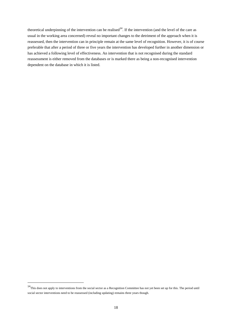theoretical underpinning of the intervention can be realised<sup>14</sup>. If the intervention (and the level of the care as usual in the working area concerned) reveal no important changes to the detriment of the approach when it is reassessed, then the intervention can in principle remain at the same level of recognition. However, it is of course preferable that after a period of three or five years the intervention has developed further in another dimension or has achieved a following level of effectiveness. An intervention that is not recognised during the standard reassessment is either removed from the databases or is marked there as being a non-recognised intervention dependent on the database in which it is listed.

-

<sup>&</sup>lt;sup>14</sup>This does not apply to interventions from the social sector as a Recognition Committee has not yet been set up for this. The period until social sector interventions need to be reassessed (including updating) remains three years though.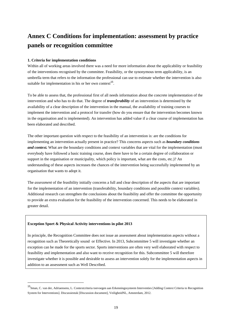# **Annex C Conditions for implementation: assessment by practice panels or recognition committee**

### **1. Criteria for implementation conditions**

Within all of working areas involved there was a need for more information about the applicability or feasibility of the interventions recognised by the committee. Feasibility, or the synonymous term applicability, is an umbrella term that refers to the information the professional can use to estimate whether the intervention is also suitable for implementation in his or her own context<sup>15</sup>.

To be able to assess that, the professional first of all needs information about the concrete implementation of the intervention and who has to do that. The degree of *transferability* of an intervention is determined by the availability of a clear description of the intervention in the manual, the availability of training courses to implement the intervention and a protocol for transfer (how do you ensure that the intervention becomes known in the organisation and is implemented). An intervention has added value if a clear course of implementation has been elaborated and described.

The other important question with respect to the feasibility of an intervention is: are the conditions for implementing an intervention actually present in practice? This concerns aspects such as *boundary conditions and context.* What are the boundary conditions and context variables that are vital for the implementation (must everybody have followed a basic training course, does there have to be a certain degree of collaboration or support in the organisation or municipality, which policy is important, what are the costs, etc.)? An understanding of these aspects increases the chances of the intervention being successfully implemented by an organisation that wants to adopt it.

The *assessment* of the feasibility initially concerns a full and clear description of the aspects that are important for the implementation of an intervention (transferability, boundary conditions and possible context variables). Additional research can strengthen the conclusions about the feasibility and offer the committee the opportunity to provide an extra evaluation for the feasibility of the intervention concerned. This needs to be elaborated in greater detail.

### **Exception Sport & Physical Activity interventions in pilot 2013**

-

In principle, the Recognition Committee does not issue an assessment about implementation aspects without a recognition such as Theoretically sound or Effective. In 2013, Subcommittee 5 will investigate whether an exception can be made for the sports sector. Sports interventions are often very well elaborated with respect to feasibility and implementation and also want to receive recognition for this. Subcommittee 5 will therefore investigate whether it is possible and desirable to assess an intervention solely for the implementation aspects in addition to an assessment such as Well Described.

<sup>15</sup>Sman, C. van der, Adriaensens, L. Contextcriteria toevoegen aan Erkenningssysteem Interventies [Adding Context Criteria to Recognition System for Interventions]. Discussiestuk [Discussion document], VeiligheidNL, Amsterdam, 2012.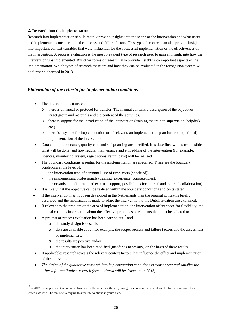# **2. Research into the implementation**

Research into implementation should mainly provide insights into the scope of the intervention and what users and implementers consider to be the success and failure factors. This type of research can also provide insights into important context variables that were influential for the successful implementation or the effectiveness of the intervention. A process evaluation is the most prevalent type of research used to gain an insight into how the intervention was implemented. But other forms of research also provide insights into important aspects of the implementation. Which types of research these are and how they can be evaluated in the recognition system will be further elaborated in 2013.

# *Elaboration of the criteria for Implementation conditions*

- The intervention is transferable:
	- o there is a manual or protocol for transfer. The manual contains a description of the objectives, target group and materials and the content of the activities.
	- o there is support for the introduction of the intervention (training the trainer, supervision, helpdesk, etc.).
	- o there is a system for implementation or, if relevant, an implementation plan for broad (national) implementation of the intervention.
- Data about maintenance, quality care and safeguarding are specified. It is described who is responsible, what will be done, and how regular maintenance and embedding of the intervention (for example, licences, monitoring system, registrations, return days) will be realised.
- The boundary conditions essential for the implementation are specified. These are the boundary conditions at the level of:
	- the intervention (use of personnel, use of time, costs (specified)),
	- the implementing professionals (training, experience, competencies),
	- the organisation (internal and external support, possibilities for internal and external collaboration).
- It is likely that the objective can be realised within the boundary conditions and costs stated.
- If the intervention has not been developed in the Netherlands then the original context is briefly described and the modifications made to adapt the intervention to the Dutch situation are explained.
- If relevant to the problem or the area of implementation, the intervention offers space for flexibility: the manual contains information about the effective principles or elements that must be adhered to.
	- A pre-test or process evaluation has been carried out<sup>16</sup> and
		- o the study design is described,
		- o data are available about, for example, the scope, success and failure factors and the assessment of implementers,
		- o the results are positive and/or

-

- the intervention has been modified (insofar as necessary) on the basis of these results.
- If applicable: research reveals the relevant context factors that influence the effect and implementation of the intervention.
- *The design of the qualitative research into implementation conditions is transparent and satisfies the criteria for qualitative research (exact criteria will be drawn up in 2013).*

<sup>&</sup>lt;sup>16</sup>In 2013 this requirement is not yet obligatory for the wider youth field; during the course of the year it will be further examined from which date it will be realistic to require this for interventions in youth care.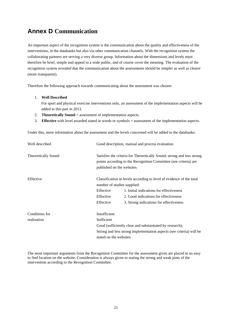# **Annex D Communication**

An important aspect of the recognition system is the communication about the quality and effectiveness of the interventions, in the databanks but also via other communication channels. With the recognition system the collaborating partners are serving a very diverse group. Information about the dimensions and levels must therefore be brief, simple and appeal to a wide public, and of course cover the meaning. The evaluation of the recognition system revealed that the communication about the assessments should be simpler as well as clearer (more transparent).

Therefore the following approach towards communicating about the assessment was chosen:

#### 1. **Well Described**

For sport and physical exercise interventions only, an assessment of the implementation aspects will be added to this part in 2013.

- 2. **Theoretically Sound** + assessment of implementation aspects.
- 3. **Effective** with level awarded stated in words or symbols + assessment of the implementation aspects.

Under this, more information about the assessment and the levels concerned will be added to the databanks:

| Well described                | Good description, manual and process evaluation                                                                                                                                                                                                                            |
|-------------------------------|----------------------------------------------------------------------------------------------------------------------------------------------------------------------------------------------------------------------------------------------------------------------------|
| <b>Theoretically Sound</b>    | Satisfies the criteria for Theoretically Sound; strong and less strong<br>points according to the Recognition Committee (see criteria) are<br>published on the websites                                                                                                    |
| Effective                     | Classification in levels according to level of evidence of the total<br>number of studies supplied:<br>Effective<br>1. Initial indications for effectiveness<br>Effective<br>2. Good indications for effectiveness<br>Effective<br>3. Strong indications for effectiveness |
| Conditions for<br>realisation | Insufficient<br>Sufficient<br>Good (sufficiently clear and substantiated by research);<br>Strong and less strong implementation aspects (see criteria) will be<br>stated on the websites                                                                                   |

The most important arguments from the Recognition Committee for the assessment given are placed in an easy to find location on the website. Consideration is always given to stating the strong and weak pints of the intervention according to the Recognition Committee.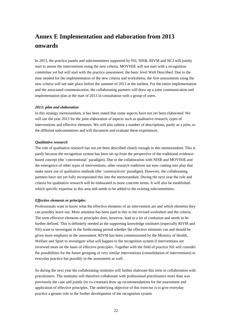# **Annex E Implementation and elaboration from 2013 onwards**

In 2013, the practice panels and subcommittees supported by NJi, NISB, RIVM and NCJ will jointly start to assess the interventions using the new criteria. MOVISIE will not start with a recognition committee yet but will start with the practice assessment, the basic level Well Described. Due to the time needed for the implementation of the new criteria and worksheets, the first assessments using the new criteria will not take place before the summer of 2013 at the earliest. For the entire implementation and the associated communication, the collaborating partners will draw up a joint communication and implementation plan at the start of 2013 in consultation with a group of users.

#### *2013: pilot and elaboration*

In this strategy memorandum, it has been stated that some aspects have not yet been elaborated. We will use the year 2013 for the joint elaboration of aspects such as qualitative research, types of interventions and effective elements. We will also submit a number of descriptions, partly as a pilot, to the different subcommittees and will document and evaluate these experiences.

#### *Qualitative research*

The role of qualitative research has not yet been described clearly enough in this memorandum. This is partly because the recognition system has been set up from the perspective of the traditional evidencebased concept (the 'conventional' paradigm). Due to the collaboration with NISB and MOVISIE and the emergence of other types of interventions, other research traditions are now coming into play that make more use of qualitative methods (the 'constructivist' paradigm). However, the collaborating partners have not yet fully incorporated this into the memorandum. During the next year the role and criteria for qualitative research will be elaborated in more concrete terms. It will also be established which specific expertise in this area still needs to be added to the existing subcommittees.

#### *Effective elements or principles*

Professionals want to know what the effective elements of an intervention are and which elements they can possibly leave out. More attention has been paid to this in the revised worksheet and the criteria. The term effective elements or principles does, however, lead to a lot of confusion and needs to be further defined. This is definitely needed as the supporting knowledge institutes (especially RIVM and NJi) want to investigate in the forthcoming period whether the effective elements can and should be given more emphasis in the assessment. RIVM has been commissioned by the Ministry of Health, Welfare and Sport to investigate what will happen to the recognition system if interventions are reviewed more on the basis of effective principles. Together with the field of practice NJi will consider the possibilities for the future grouping of very similar interventions (consolidation of interventions) in everyday practice but possibly in the assessment as well.

So during the next year the collaborating institutes will further elaborate this term in collaboration with practitioners. The institutes will therefore collaborate with professional practitioners more than was previously the case and jointly (in co-creation) draw up recommendations for the assessment and application of effective principles. The underlying objective of this exercise is to give everyday practice a greater role in the further development of the recognition system.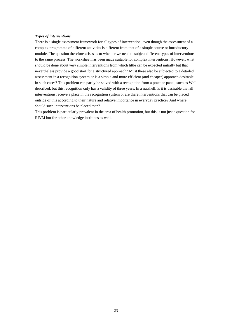### *Types of interventions*

There is a single assessment framework for all types of intervention, even though the assessment of a complex programme of different activities is different from that of a simple course or introductory module. The question therefore arises as to whether we need to subject different types of interventions to the same process. The worksheet has been made suitable for complex interventions. However, what should be done about very simple interventions from which little can be expected initially but that nevertheless provide a good start for a structured approach? Must these also be subjected to a detailed assessment in a recognition system or is a simple and more efficient (and cheaper) approach desirable in such cases? This problem can partly be solved with a recognition from a practice panel, such as Well described, but this recognition only has a validity of three years. In a nutshell: is it is desirable that all interventions receive a place in the recognition system or are there interventions that can be placed outside of this according to their nature and relative importance in everyday practice? And where should such interventions be placed then?

This problem is particularly prevalent in the area of health promotion, but this is not just a question for RIVM but for other knowledge institutes as well.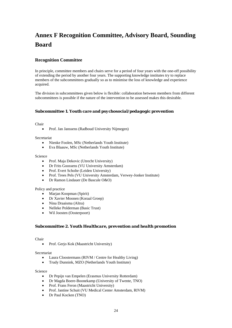# **Annex F Recognition Committee, Advisory Board, Sounding Board**

# **Recognition Committee**

In principle, committee members and chairs serve for a period of four years with the one-off possibility of extending the period by another four years. The supporting knowledge institutes try to replace members of the subcommittees gradually so as to minimise the loss of knowledge and experience acquired.

The division in subcommittees given below is flexible: collaboration between members from different subcommittees is possible if the nature of the intervention to be assessed makes this desirable.

# *Subcommittee 1. Youth care and psychosocial/pedagogic prevention*

Chair

• Prof. Jan Janssens (Radboud University Nijmegen)

Secretariat

- Nienke Foolen, MSc (Netherlands Youth Institute)
- Eva Blaauw, MSc (Netherlands Youth Institute)

Science

- Prof. Maja Dekovic (Utrecht University)
- Dr Frits Goossens (VU University Amsterdam)
- Prof. Evert Scholte (Leiden University)
- Prof. Trees Pels (VU University Amsterdam, Verwey-Jonker Institute)
- Dr Ramon Lindauer (De Bascule O&O)

### Policy and practice

- Marjan Koopman (Spirit)
- Dr Xavier Moonen (Koraal Groep)
- Nina Draaisma (Altra)
- Nelleke Polderman (Basic Trust)
- Wil Joosten (Oosterpoort)

#### *Subcommittee 2. Youth Healthcare, prevention and health promotion*

Chair

Prof. Gerjo Kok (Maastricht University)

Secretariat

- Laura Cloostermans (RIVM / Centre for Healthy Living)
- Trudy Dunnink, MZO (Netherlands Youth Institute)

#### Science

- Dr Pepijn van Empelen (Erasmus University Rotterdam)
- Dr Magda Boere-Boonekamp (University of Twente, TNO)
- Prof. Frans Feron (Maastricht University)
- Prof. Jantine Schuit (VU Medical Center Amsterdam, RIVM)
- Dr Paul Kocken (TNO)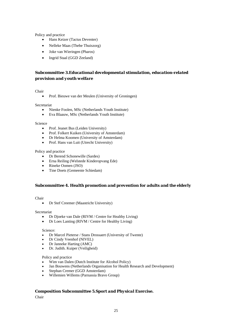Policy and practice

- Hans Keizer (Tactus Deventer)
- Nelleke Maas (Thebe Thuiszorg)
- Joke van Wieringen (Pharos)
- Ingrid Staal (GGD Zeeland)

# *Subcommittee 3.Educational developmental stimulation, education-related provision and youth welfare*

Chair

Prof. Bieuwe van der Meulen (University of Groningen)

Secretariat

- Nienke Foolen, MSc (Netherlands Youth Institute)
- Eva Blaauw, MSc (Netherlands Youth Institute)

Science

- Prof. Jeanet Bus (Leiden University)
- Prof. Folkert Kuiken (University of Amsterdam)
- Dr Helma Koomen (University of Amsterdam)
- Prof. Hans van Luit (Utrecht University)

Policy and practice

- Dr Berend Schonewille (Sardes)
- Erna Reiling (Welstede Kinderopvang Ede)
- Rineke Oomen (JSO)
- Tine Doets (Gemeente Schiedam)

# *Subcommittee 4. Health promotion and prevention for adults and the elderly*

Chair

Dr Stef Creemer (Maastricht University)

Secretariat

- Dr Djoeke van Dale (RIVM / Centre for Healthy Living)
- Dr Loes Lanting (RIVM / Centre for Healthy Living)

#### Science:

- Dr Marcel Pieterse / Stans Drossaert (University of Twente)
- Dr Cindy Veenhof (NIVEL)
- Dr Janneke Harting (AMC)
- Dr. Judith. Kuiper (Veiligheid)

Policy and practice

- Wim van Dalen (Dutch Institute for Alcohol Policy)
- Jan Bouwens (Netherlands Organisation for Health Research and Development)
- Stephan Cremer (GGD Amsterdam)
- Willemien Willems (Parnassia Bravo Group)

### *Composition Subcommittee 5.Sport and Physical Exercise.*

Chair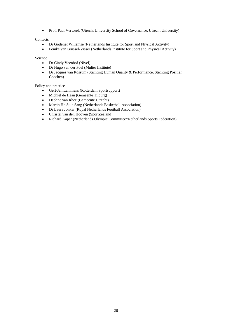Prof. Paul Verweel, (Utrecht University School of Governance, Utrecht University)

### **Contacts**

- Dr Godelief Willemse (Netherlands Institute for Sport and Physical Activity)
- Femke van Brussel-Visser (Netherlands Institute for Sport and Physical Activity)

#### Science

- Dr Cindy Veenhof (Nivel)
- Dr Hugo van der Poel (Mulier Institute)
- Dr Jacques van Rossum (Stichting Human Quality & Performance, Stichting Positief Coachen)

# Policy and practice

- Gert-Jan Lammens (Rotterdam Sportsupport)
- Michiel de Haan (Gemeente Tilburg)
- 
- Daphne van Rhee (Gemeente Utrecht)<br>• Martin Ho Suie Sang (Netherlands Bas Martin Ho Suie Sang (Netherlands Basketball Association)
- Dr Laura Jonker (Royal Netherlands Football Association)
- Christel van den Hooven (SportZeeland)
- Richard Kaper (Netherlands Olympic Committee\*Netherlands Sports Federation)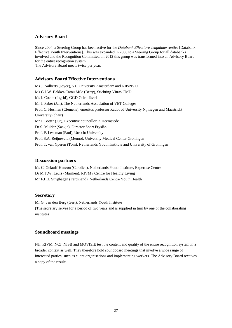# **Advisory Board**

Since 2004, a Steering Group has been active for the *Databank Effectieve Jeugdinterventies* [Databank Effective Youth Interventions]. This was expanded in 2008 to a Steering Group for all databanks involved and the Recognition Committee. In 2012 this group was transformed into an Advisory Board for the entire recognition system.

The Advisory Board meets twice per year.

### *Advisory Board Effective Interventions*

Ms J. Aalberts (Joyce), VU University Amsterdam and NIP/NVO Ms G.J.W. Bakker-Camu MSc (Betty), Stichting Vitras CMD Ms I. Coene (Ingrid), GGD Gelre-IJssel Mr J. Faber (Jan), The Netherlands Association of VET Colleges Prof. C. Hosman (Clemens), emeritus professor Radboud University Nijmegen and Maastricht University (chair) Mr J. Botter (Jur), Executive councillor in Heemstede Dr S. Mulder (Saakje), Director Sport Fryslân Prof. P. Leseman (Paul), Utrecht University Prof. S.A. Reijneveld (Menno), University Medical Center Groningen Prof. T. van Yperen (Tom), Netherlands Youth Institute and University of Groningen

# *Discussion partners*

Ms C. Gelauff-Hanzon (Carolien), Netherlands Youth Institute, Expertise Centre Dr M.T.W. Leurs (Mariken), RIVM / Centre for Healthy Living Mr F.H.J. Strijthagen (Ferdinand), Netherlands Centre Youth Health

### *Secretary*

Mr G. van den Berg (Gert), Netherlands Youth Institute (The secretary serves for a period of two years and is supplied in turn by one of the collaborating institutes)

# **Soundboard meetings**

NJi, RIVM, NCJ, NISB and MOVISIE test the content and quality of the entire recognition system in a broader context as well. They therefore hold soundboard meetings that involve a wide range of interested parties, such as client organisations and implementing workers. The Advisory Board receives a copy of the results.